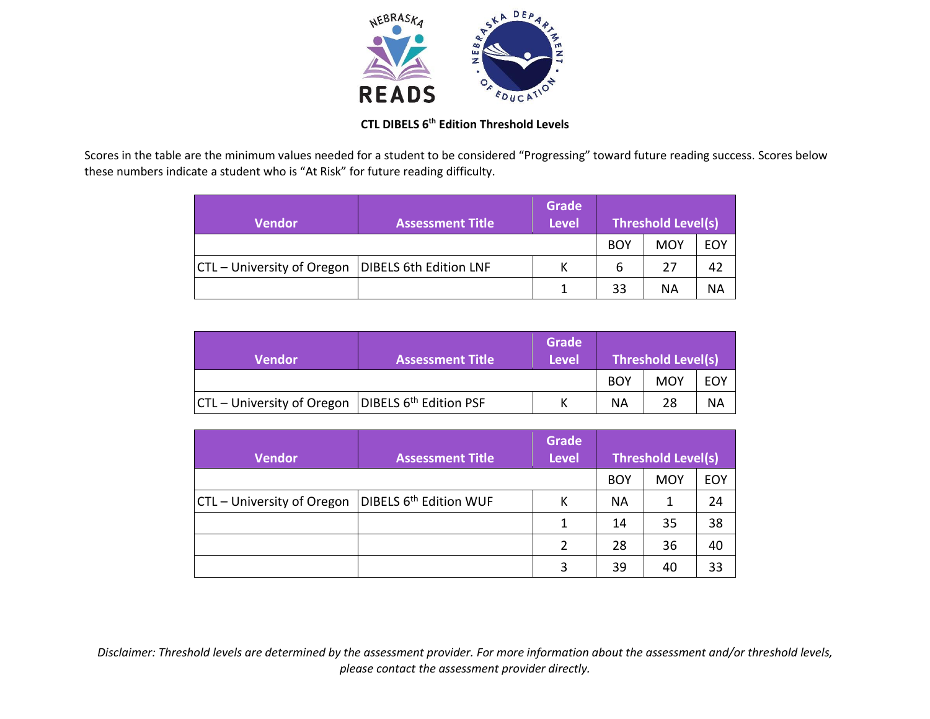

## **CTL DIBELS 6th Edition Threshold Levels**

Scores in the table are the minimum values needed for a student to be considered "Progressing" toward future reading success. Scores below these numbers indicate a student who is "At Risk" for future reading difficulty.

| <b>Vendor</b>              | <b>Assessment Title</b> | <b>Grade</b><br><b>Level</b> | <b>Threshold Level(s)</b> |            |     |
|----------------------------|-------------------------|------------------------------|---------------------------|------------|-----|
|                            |                         |                              | <b>BOY</b>                | <b>MOY</b> | EOY |
| CTL – University of Oregon | DIBELS 6th Edition LNF  |                              | 6                         | 27         | 42  |
|                            |                         |                              | 33                        | ΝA         | ΝA  |

| <b>Vendor</b>                 | <b>Assessment Title</b>            | Grade<br><b>Level</b> | Threshold Level(s) |            |     |
|-------------------------------|------------------------------------|-----------------------|--------------------|------------|-----|
|                               |                                    |                       | <b>BOY</b>         | <b>MOY</b> | EOY |
| $ CTL -$ University of Oregon | DIBELS 6 <sup>th</sup> Edition PSF |                       | ΝA                 | 28         | ΝA  |

| <b>Vendor</b>              | <b>Assessment Title</b>            | <b>Grade</b><br><b>Level</b> | <b>Threshold Level(s)</b> |            |            |
|----------------------------|------------------------------------|------------------------------|---------------------------|------------|------------|
|                            |                                    |                              | <b>BOY</b>                | <b>MOY</b> | <b>EOY</b> |
| CTL – University of Oregon | DIBELS 6 <sup>th</sup> Edition WUF | Κ                            | <b>NA</b>                 | 1          | 24         |
|                            |                                    | 1                            | 14                        | 35         | 38         |
|                            |                                    | $\mathcal{P}$                | 28                        | 36         | 40         |
|                            |                                    | 3                            | 39                        | 40         | 33         |

*Disclaimer: Threshold levels are determined by the assessment provider. For more information about the assessment and/or threshold levels, please contact the assessment provider directly.*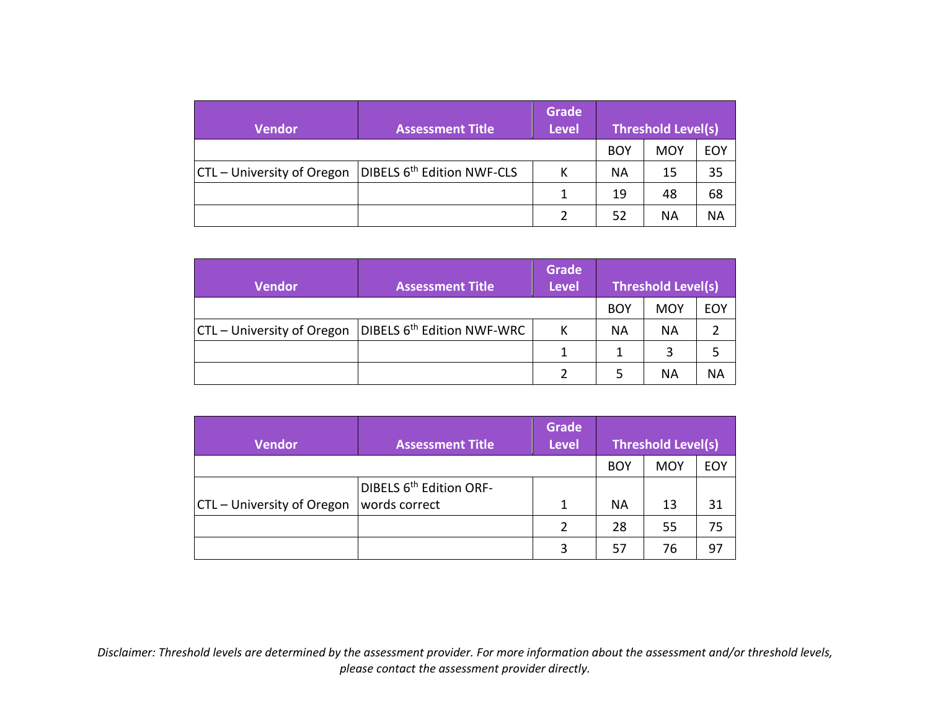| <b>Vendor</b>              | <b>Assessment Title</b>                | <b>Grade</b><br><b>Level</b> | <b>Threshold Level(s)</b> |     |            |
|----------------------------|----------------------------------------|------------------------------|---------------------------|-----|------------|
|                            |                                        |                              | <b>BOY</b>                | MOY | <b>EOY</b> |
| CTL – University of Oregon | DIBELS 6 <sup>th</sup> Edition NWF-CLS | к                            | NА                        | 15  | 35         |
|                            |                                        | 1                            | 19                        | 48  | 68         |
|                            |                                        |                              | 52                        | ΝA  | ΝA         |

| <b>Vendor</b>                     | <b>Assessment Title</b>                | <b>Grade</b><br><b>Level</b> | <b>Threshold Level(s)</b> |     |     |
|-----------------------------------|----------------------------------------|------------------------------|---------------------------|-----|-----|
|                                   |                                        |                              | <b>BOY</b>                | MOY | EOY |
| <b>CTL</b> – University of Oregon | DIBELS 6 <sup>th</sup> Edition NWF-WRC | К                            | ΝA                        | ΝA  |     |
|                                   |                                        |                              |                           | 3   |     |
|                                   |                                        |                              |                           | ΝA  | ΝA  |

| <b>Vendor</b>              | <b>Assessment Title</b>                              | <b>Grade</b><br><b>Level</b> | <b>Threshold Level(s)</b> |            |            |
|----------------------------|------------------------------------------------------|------------------------------|---------------------------|------------|------------|
|                            |                                                      |                              | <b>BOY</b>                | <b>MOY</b> | <b>EOY</b> |
| CTL - University of Oregon | DIBELS 6 <sup>th</sup> Edition ORF-<br>words correct | 1                            | <b>NA</b>                 | 13         | 31         |
|                            |                                                      | $\mathcal{P}$                | 28                        | 55         | 75         |
|                            |                                                      | 3                            | 57                        | 76         | 97         |

*Disclaimer: Threshold levels are determined by the assessment provider. For more information about the assessment and/or threshold levels, please contact the assessment provider directly.*